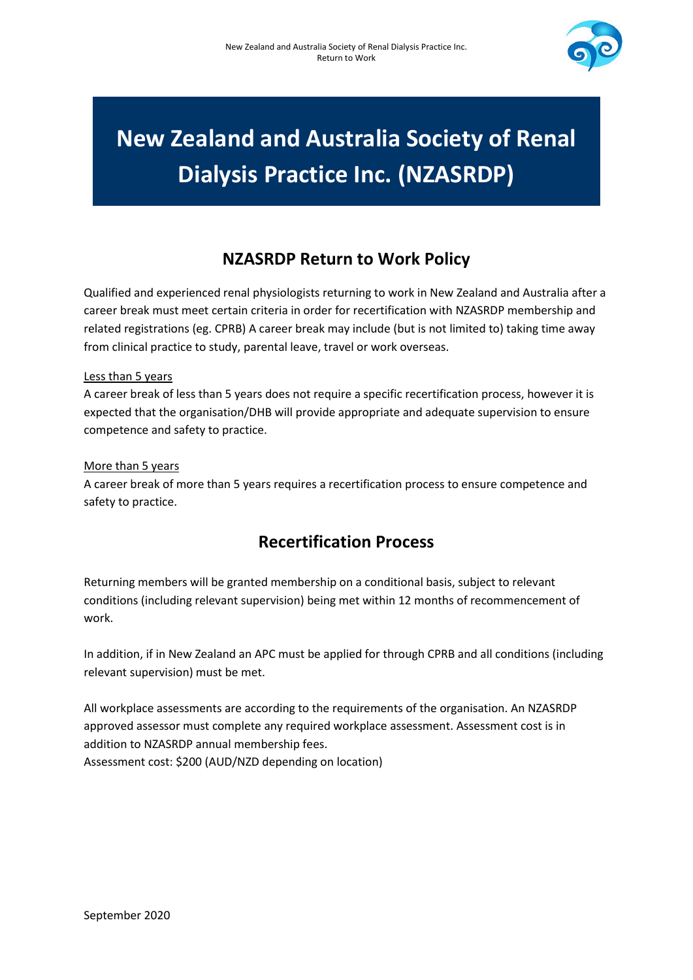

# **New Zealand and Australia Society of Renal Dialysis Practice Inc. (NZASRDP)**

## **NZASRDP Return to Work Policy**

Qualified and experienced renal physiologists returning to work in New Zealand and Australia after a career break must meet certain criteria in order for recertification with NZASRDP membership and related registrations (eg. CPRB) A career break may include (but is not limited to) taking time away from clinical practice to study, parental leave, travel or work overseas.

### Less than 5 years

A career break of less than 5 years does not require a specific recertification process, however it is expected that the organisation/DHB will provide appropriate and adequate supervision to ensure competence and safety to practice.

### More than 5 years

A career break of more than 5 years requires a recertification process to ensure competence and safety to practice.

## **Recertification Process**

Returning members will be granted membership on a conditional basis, subject to relevant conditions (including relevant supervision) being met within 12 months of recommencement of work.

In addition, if in New Zealand an APC must be applied for through CPRB and all conditions (including relevant supervision) must be met.

All workplace assessments are according to the requirements of the organisation. An NZASRDP approved assessor must complete any required workplace assessment. Assessment cost is in addition to NZASRDP annual membership fees. Assessment cost: \$200 (AUD/NZD depending on location)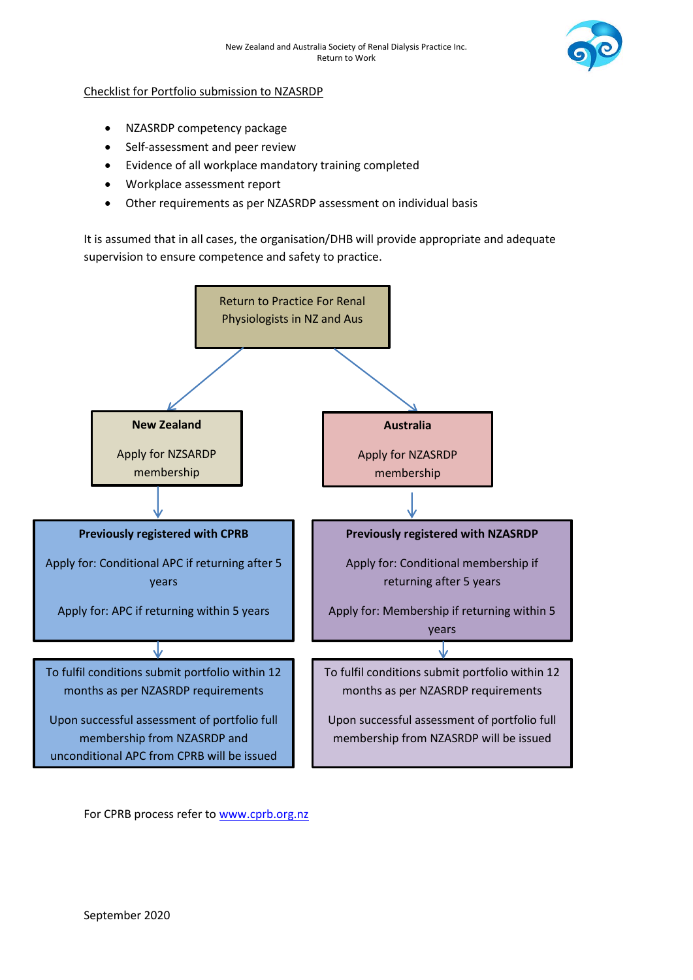

#### Checklist for Portfolio submission to NZASRDP

- NZASRDP competency package
- Self-assessment and peer review
- Evidence of all workplace mandatory training completed
- Workplace assessment report
- Other requirements as per NZASRDP assessment on individual basis

It is assumed that in all cases, the organisation/DHB will provide appropriate and adequate supervision to ensure competence and safety to practice.



For CPRB process refer to [www.cprb.org.nz](http://www.cprb.org.nz/)